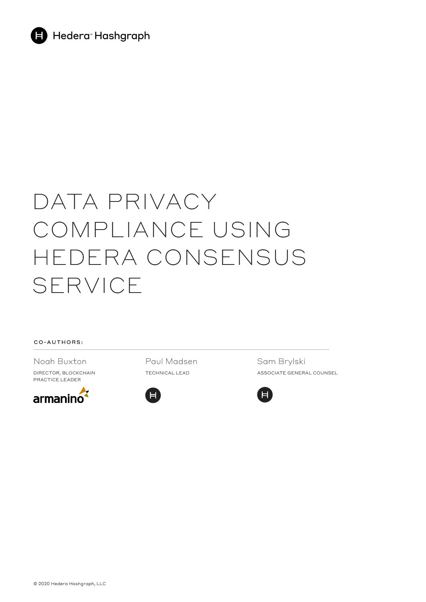

# DATA PRIVACY COMPLIANCE USING HEDERA CONSENSUS SERVICE

#### CO-AUTHORS:

Noah Buxton

DIRECTOR, BLOCKCHAIN PRACTICE LEADER



Paul Madsen TECHNICAL LEAD



Sam Brylski ASSOCIATE GENERAL COUNSEL

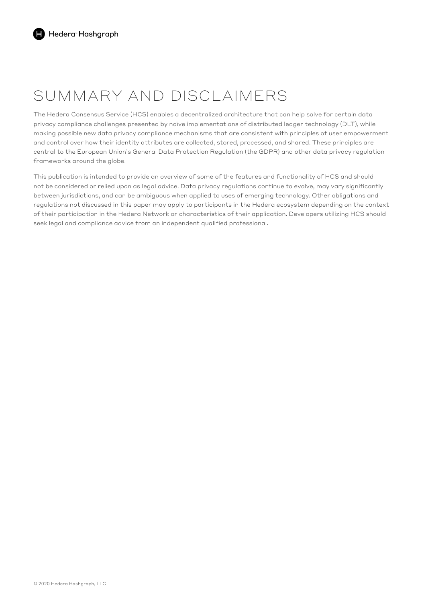## SUMMARY AND DISCLAIMERS

The Hedera Consensus Service (HCS) enables a decentralized architecture that can help solve for certain data privacy compliance challenges presented by naïve implementations of distributed ledger technology (DLT), while making possible new data privacy compliance mechanisms that are consistent with principles of user empowerment and control over how their identity attributes are collected, stored, processed, and shared. These principles are central to the European Union's General Data Protection Regulation (the GDPR) and other data privacy regulation frameworks around the globe.

This publication is intended to provide an overview of some of the features and functionality of HCS and should not be considered or relied upon as legal advice. Data privacy regulations continue to evolve, may vary significantly between jurisdictions, and can be ambiguous when applied to uses of emerging technology. Other obligations and regulations not discussed in this paper may apply to participants in the Hedera ecosystem depending on the context of their participation in the Hedera Network or characteristics of their application. Developers utilizing HCS should seek legal and compliance advice from an independent qualified professional.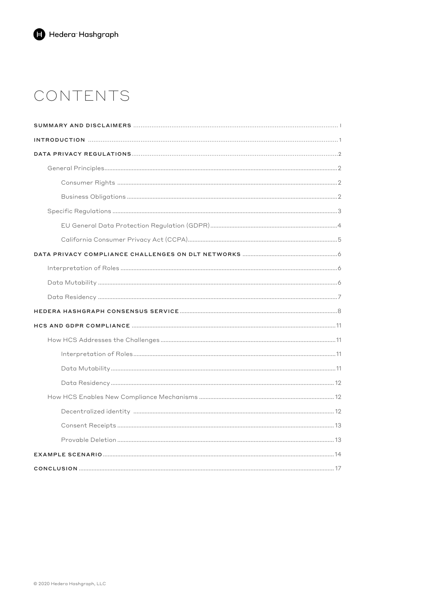## CONTENTS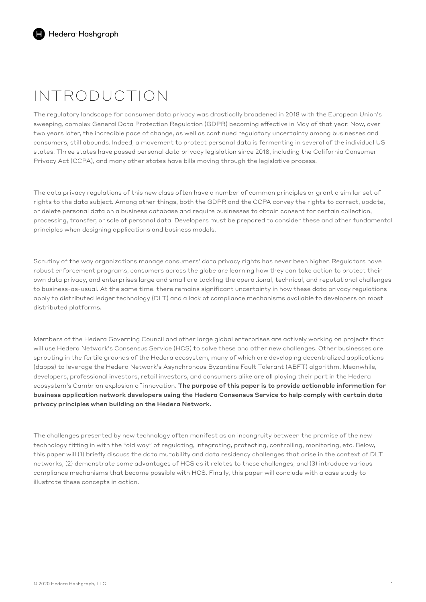## INTRODUCTION

The regulatory landscape for consumer data privacy was drastically broadened in 2018 with the European Union's sweeping, complex General Data Protection Regulation (GDPR) becoming effective in May of that year. Now, over two years later, the incredible pace of change, as well as continued regulatory uncertainty among businesses and consumers, still abounds. Indeed, a movement to protect personal data is fermenting in several of the individual US states. Three states have passed personal data privacy legislation since 2018, including the California Consumer Privacy Act (CCPA), and many other states have bills moving through the legislative process.

The data privacy regulations of this new class often have a number of common principles or grant a similar set of rights to the data subject. Among other things, both the GDPR and the CCPA convey the rights to correct, update, or delete personal data on a business database and require businesses to obtain consent for certain collection, processing, transfer, or sale of personal data. Developers must be prepared to consider these and other fundamental principles when designing applications and business models.

Scrutiny of the way organizations manage consumers' data privacy rights has never been higher. Regulators have robust enforcement programs, consumers across the globe are learning how they can take action to protect their own data privacy, and enterprises large and small are tackling the operational, technical, and reputational challenges to business-as-usual. At the same time, there remains significant uncertainty in how these data privacy regulations apply to distributed ledger technology (DLT) and a lack of compliance mechanisms available to developers on most distributed platforms.

Members of the Hedera Governing Council and other large global enterprises are actively working on projects that will use Hedera Network's Consensus Service (HCS) to solve these and other new challenges. Other businesses are sprouting in the fertile grounds of the Hedera ecosystem, many of which are developing decentralized applications (dapps) to leverage the Hedera Network's Asynchronous Byzantine Fault Tolerant (ABFT) algorithm. Meanwhile, developers, professional investors, retail investors, and consumers alike are all playing their part in the Hedera ecosystem's Cambrian explosion of innovation. The purpose of this paper is to provide actionable information for business application network developers using the Hedera Consensus Service to help comply with certain data privacy principles when building on the Hedera Network.

The challenges presented by new technology often manifest as an incongruity between the promise of the new technology fitting in with the "old way" of regulating, integrating, protecting, controlling, monitoring, etc. Below, this paper will (1) briefly discuss the data mutability and data residency challenges that arise in the context of DLT networks, (2) demonstrate some advantages of HCS as it relates to these challenges, and (3) introduce various compliance mechanisms that become possible with HCS. Finally, this paper will conclude with a case study to illustrate these concepts in action.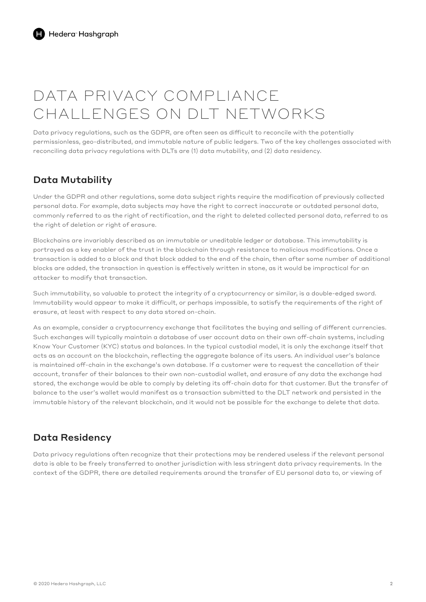## DATA PRIVACY COMPLIANCE CHALLENGES ON DLT NETWORKS

Data privacy regulations, such as the GDPR, are often seen as difficult to reconcile with the potentially permissionless, geo-distributed, and immutable nature of public ledgers. Two of the key challenges associated with reconciling data privacy regulations with DLTs are (1) data mutability, and (2) data residency.

## Data Mutability

Under the GDPR and other regulations, some data subject rights require the modification of previously collected personal data. For example, data subjects may have the right to correct inaccurate or outdated personal data, commonly referred to as the right of rectification, and the right to deleted collected personal data, referred to as the right of deletion or right of erasure.

Blockchains are invariably described as an immutable or uneditable ledger or database. This immutability is portrayed as a key enabler of the trust in the blockchain through resistance to malicious modifications. Once a transaction is added to a block and that block added to the end of the chain, then after some number of additional blocks are added, the transaction in question is effectively written in stone, as it would be impractical for an attacker to modify that transaction.

Such immutability, so valuable to protect the integrity of a cryptocurrency or similar, is a double-edged sword. Immutability would appear to make it difficult, or perhaps impossible, to satisfy the requirements of the right of erasure, at least with respect to any data stored on-chain.

As an example, consider a cryptocurrency exchange that facilitates the buying and selling of different currencies. Such exchanges will typically maintain a database of user account data on their own off-chain systems, including Know Your Customer (KYC) status and balances. In the typical custodial model, it is only the exchange itself that acts as an account on the blockchain, reflecting the aggregate balance of its users. An individual user's balance is maintained off-chain in the exchange's own database. If a customer were to request the cancellation of their account, transfer of their balances to their own non-custodial wallet, and erasure of any data the exchange had stored, the exchange would be able to comply by deleting its off-chain data for that customer. But the transfer of balance to the user's wallet would manifest as a transaction submitted to the DLT network and persisted in the immutable history of the relevant blockchain, and it would not be possible for the exchange to delete that data.

## Data Residency

Data privacy regulations often recognize that their protections may be rendered useless if the relevant personal data is able to be freely transferred to another jurisdiction with less stringent data privacy requirements. In the context of the GDPR, there are detailed requirements around the transfer of EU personal data to, or viewing of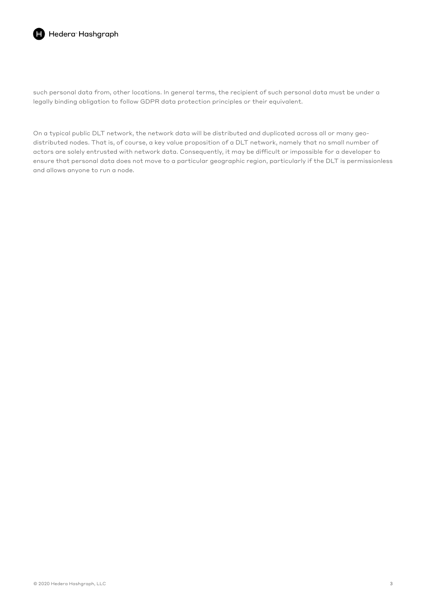

### Hedera<sup>-</sup>Hashgraph

such personal data from, other locations. In general terms, the recipient of such personal data must be under a legally binding obligation to follow GDPR data protection principles or their equivalent.

On a typical public DLT network, the network data will be distributed and duplicated across all or many geodistributed nodes. That is, of course, a key value proposition of a DLT network, namely that no small number of actors are solely entrusted with network data. Consequently, it may be difficult or impossible for a developer to ensure that personal data does not move to a particular geographic region, particularly if the DLT is permissionless and allows anyone to run a node.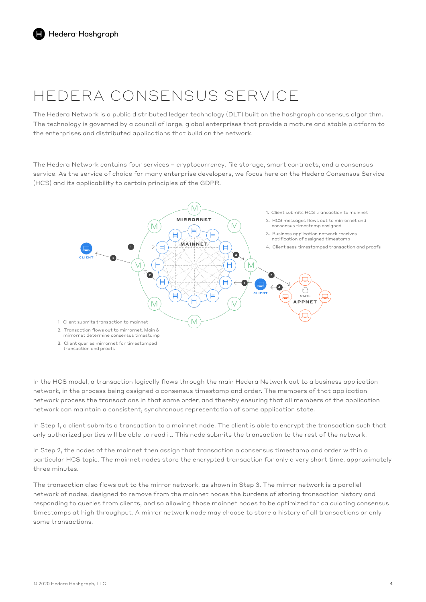## HEDERA CONSENSUS SERVICE

The Hedera Network is a public distributed ledger technology (DLT) built on the hashgraph consensus algorithm. The technology is governed by a council of large, global enterprises that provide a mature and stable platform to the enterprises and distributed applications that build on the network.

The Hedera Network contains four services – cryptocurrency, file storage, smart contracts, and a consensus service. As the service of choice for many enterprise developers, we focus here on the Hedera Consensus Service (HCS) and its applicability to certain principles of the GDPR.



In the HCS model, a transaction logically flows through the main Hedera Network out to a business application network, in the process being assigned a consensus timestamp and order. The members of that application network process the transactions in that same order, and thereby ensuring that all members of the application network can maintain a consistent, synchronous representation of some application state.

In Step 1, a client submits a transaction to a mainnet node. The client is able to encrypt the transaction such that only authorized parties will be able to read it. This node submits the transaction to the rest of the network.

In Step 2, the nodes of the mainnet then assign that transaction a consensus timestamp and order within a particular HCS topic. The mainnet nodes store the encrypted transaction for only a very short time, approximately three minutes.

The transaction also flows out to the mirror network, as shown in Step 3. The mirror network is a parallel network of nodes, designed to remove from the mainnet nodes the burdens of storing transaction history and responding to queries from clients, and so allowing those mainnet nodes to be optimized for calculating consensus timestamps at high throughput. A mirror network node may choose to store a history of all transactions or only some transactions.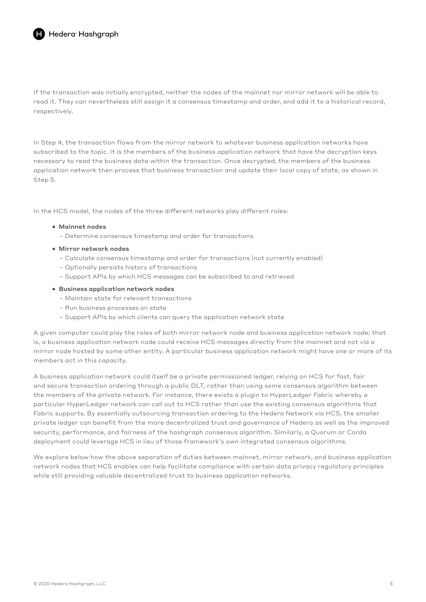If the transaction was initially encrypted, neither the nodes of the mainnet nor mirror network will be able to read it. They can nevertheless still assign it a consensus timestamp and order, and add it to a historical record, respectively.

In Step 4, the transaction flows from the mirror network to whatever business application networks have subscribed to the topic. It is the members of the business application network that have the decryption keys necessary to read the business data within the transaction. Once decrypted, the members of the business application network then process that business transaction and update their local copy of state, as shown in Step 5.

In the HCS model, the nodes of the three different networks play different roles:

#### • Mainnet nodes

- Determine consensus timestamp and order for transactions
- Mirror network nodes
	- Calculate consensus timestamp and order for transactions (not currently enabled)
	- Optionally persists history of transactions
	- Support APIs by which HCS messages can be subscribed to and retrieved

#### • Business application network nodes

- Maintain state for relevant transactions
- Run business processes on state
- Support APIs by which clients can query the application network state

A given computer could play the roles of both mirror network node and business application network node; that is, a business application network node could receive HCS messages directly from the mainnet and not via a mirror node hosted by some other entity. A particular business application network might have one or more of its members act in this capacity.

A business application network could itself be a private permissioned ledger, relying on HCS for fast, fair and secure transaction ordering through a public DLT, rather than using some consensus algorithm between the members of the private network. For instance, there exists a plugin to HyperLedger Fabric whereby a particular HyperLedger network can call out to HCS rather than use the existing consensus algorithms that Fabric supports. By essentially outsourcing transaction ordering to the Hedera Network via HCS, the smaller private ledger can benefit from the more decentralized trust and governance of Hedera as well as the improved security, performance, and fairness of the hashgraph consensus algorithm. Similarly, a Quorum or Corda deployment could leverage HCS in lieu of those framework's own integrated consensus algorithms.

We explore below how the above separation of duties between mainnet, mirror network, and business application network nodes that HCS enables can help facilitate compliance with certain data privacy regulatory principles while still providing valuable decentralized trust to business application networks.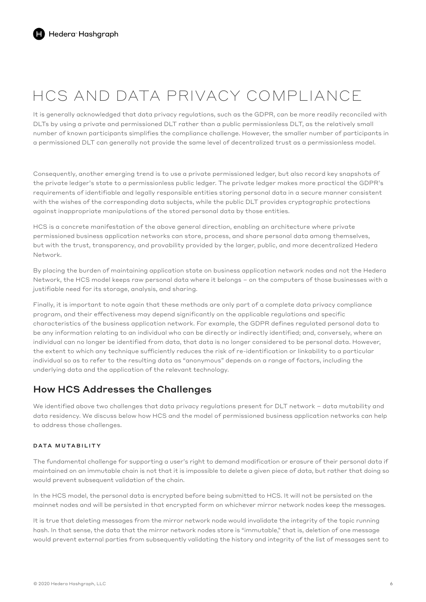## HCS AND DATA PRIVACY COMPLIANCE

It is generally acknowledged that data privacy regulations, such as the GDPR, can be more readily reconciled with DLTs by using a private and permissioned DLT rather than a public permissionless DLT, as the relatively small number of known participants simplifies the compliance challenge. However, the smaller number of participants in a permissioned DLT can generally not provide the same level of decentralized trust as a permissionless model.

Consequently, another emerging trend is to use a private permissioned ledger, but also record key snapshots of the private ledger's state to a permissionless public ledger. The private ledger makes more practical the GDPR's requirements of identifiable and legally responsible entities storing personal data in a secure manner consistent with the wishes of the corresponding data subjects, while the public DLT provides cryptographic protections against inappropriate manipulations of the stored personal data by those entities.

HCS is a concrete manifestation of the above general direction, enabling an architecture where private permissioned business application networks can store, process, and share personal data among themselves, but with the trust, transparency, and provability provided by the larger, public, and more decentralized Hedera Network.

By placing the burden of maintaining application state on business application network nodes and not the Hedera Network, the HCS model keeps raw personal data where it belongs – on the computers of those businesses with a justifiable need for its storage, analysis, and sharing.

Finally, it is important to note again that these methods are only part of a complete data privacy compliance program, and their effectiveness may depend significantly on the applicable regulations and specific characteristics of the business application network. For example, the GDPR defines regulated personal data to be any information relating to an individual who can be directly or indirectly identified; and, conversely, where an individual can no longer be identified from data, that data is no longer considered to be personal data. However, the extent to which any technique sufficiently reduces the risk of re-identification or linkability to a particular individual so as to refer to the resulting data as "anonymous" depends on a range of factors, including the underlying data and the application of the relevant technology.

### How HCS Addresses the Challenges

We identified above two challenges that data privacy regulations present for DLT network – data mutability and data residency. We discuss below how HCS and the model of permissioned business application networks can help to address those challenges.

### DATA MUTABILITY

The fundamental challenge for supporting a user's right to demand modification or erasure of their personal data if maintained on an immutable chain is not that it is impossible to delete a given piece of data, but rather that doing so would prevent subsequent validation of the chain.

In the HCS model, the personal data is encrypted before being submitted to HCS. It will not be persisted on the mainnet nodes and will be persisted in that encrypted form on whichever mirror network nodes keep the messages.

It is true that deleting messages from the mirror network node would invalidate the integrity of the topic running hash. In that sense, the data that the mirror network nodes store is "immutable," that is, deletion of one message would prevent external parties from subsequently validating the history and integrity of the list of messages sent to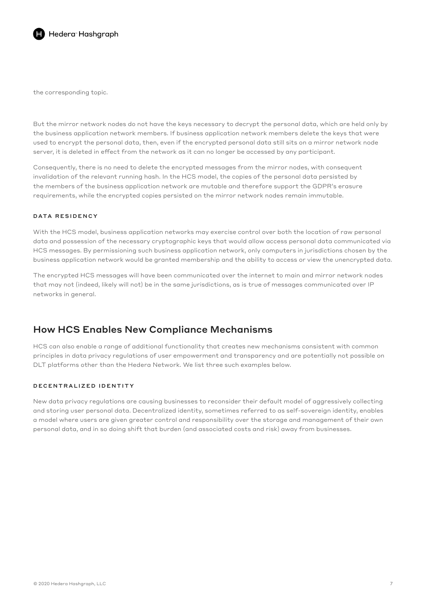

the corresponding topic.

But the mirror network nodes do not have the keys necessary to decrypt the personal data, which are held only by the business application network members. If business application network members delete the keys that were used to encrypt the personal data, then, even if the encrypted personal data still sits on a mirror network node server, it is deleted in effect from the network as it can no longer be accessed by any participant.

Consequently, there is no need to delete the encrypted messages from the mirror nodes, with consequent invalidation of the relevant running hash. In the HCS model, the copies of the personal data persisted by the members of the business application network are mutable and therefore support the GDPR's erasure requirements, while the encrypted copies persisted on the mirror network nodes remain immutable.

### DATA RESIDENCY

With the HCS model, business application networks may exercise control over both the location of raw personal data and possession of the necessary cryptographic keys that would allow access personal data communicated via HCS messages. By permissioning such business application network, only computers in jurisdictions chosen by the business application network would be granted membership and the ability to access or view the unencrypted data.

The encrypted HCS messages will have been communicated over the internet to main and mirror network nodes that may not (indeed, likely will not) be in the same jurisdictions, as is true of messages communicated over IP networks in general.

### How HCS Enables New Compliance Mechanisms

HCS can also enable a range of additional functionality that creates new mechanisms consistent with common principles in data privacy regulations of user empowerment and transparency and are potentially not possible on DLT platforms other than the Hedera Network. We list three such examples below.

### DECENTRALIZED IDENTITY

New data privacy regulations are causing businesses to reconsider their default model of aggressively collecting and storing user personal data. Decentralized identity, sometimes referred to as self-sovereign identity, enables a model where users are given greater control and responsibility over the storage and management of their own personal data, and in so doing shift that burden (and associated costs and risk) away from businesses.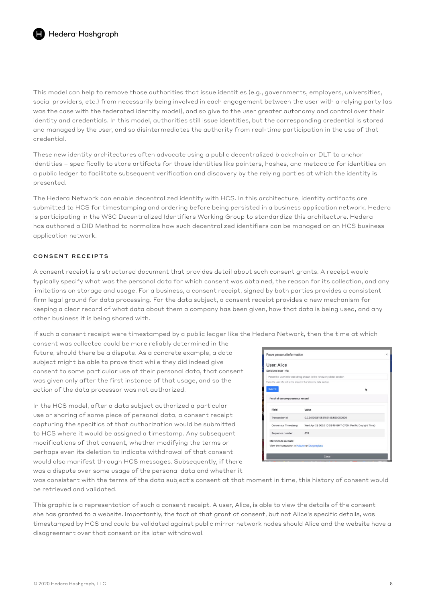This model can help to remove those authorities that issue identities (e.g., governments, employers, universities, social providers, etc.) from necessarily being involved in each engagement between the user with a relying party (as was the case with the federated identity model), and so give to the user greater autonomy and control over their identity and credentials. In this model, authorities still issue identities, but the corresponding credential is stored and managed by the user, and so disintermediates the authority from real-time participation in the use of that credential.

These new identity architectures often advocate using a public decentralized blockchain or DLT to anchor identities – specifically to store artifacts for those identities like pointers, hashes, and metadata for identities on a public ledger to facilitate subsequent verification and discovery by the relying parties at which the identity is presented.

The Hedera Network can enable decentralized identity with HCS. In this architecture, identity artifacts are submitted to HCS for timestamping and ordering before being persisted in a business application network. Hedera is participating in the W3C Decentralized Identifiers Working Group to standardize this architecture. Hedera has authored a DID Method to normalize how such decentralized identifiers can be managed on an HCS business application network.

### CONSENT RECEIPTS

A consent receipt is a structured document that provides detail about such consent grants. A receipt would typically specify what was the personal data for which consent was obtained, the reason for its collection, and any limitations on storage and usage. For a business, a consent receipt, signed by both parties provides a consistent firm legal ground for data processing. For the data subject, a consent receipt provides a new mechanism for keeping a clear record of what data about them a company has been given, how that data is being used, and any other business it is being shared with.

If such a consent receipt were timestamped by a public ledger like the Hedera Network, then the time at which

consent was collected could be more reliably determined in the future, should there be a dispute. As a concrete example, a data subject might be able to prove that while they did indeed give consent to some particular use of their personal data, that consent was given only after the first instance of that usage, and so the action of the data processor was not authorized.

In the HCS model, after a data subject authorized a particular use or sharing of some piece of personal data, a consent receipt capturing the specifics of that authorization would be submitted to HCS where it would be assigned a timestamp. Any subsequent modifications of that consent, whether modifying the terms or perhaps even its deletion to indicate withdrawal of that consent would also manifest through HCS messages. Subsequently, if there was a dispute over some usage of the personal data and whether it

| User: Alice<br>Serialized user info:                                |                                                                      |  |
|---------------------------------------------------------------------|----------------------------------------------------------------------|--|
|                                                                     | Paste the user info text string shown in the 'show my data' section. |  |
| Paste the user info text string shown in the 'show my data' section |                                                                      |  |
| Submit                                                              |                                                                      |  |
| Proof of contemporaneous record<br>Field                            | Value                                                                |  |
| <b>Transaction Id</b>                                               | 0.0.24105@1588183146.550000000                                       |  |
|                                                                     |                                                                      |  |
| Consensus Timestamp                                                 | Wed Apr 29 2020 10:59:16 GMT-0700 (Pacific Daylight Time)            |  |
| Sequence number                                                     | 674                                                                  |  |

was consistent with the terms of the data subject's consent at that moment in time, this history of consent would be retrieved and validated.

This graphic is a representation of such a consent receipt. A user, Alice, is able to view the details of the consent she has granted to a website. Importantly, the fact of that grant of consent, but not Alice's specific details, was timestamped by HCS and could be validated against public mirror network nodes should Alice and the website have a disagreement over that consent or its later withdrawal.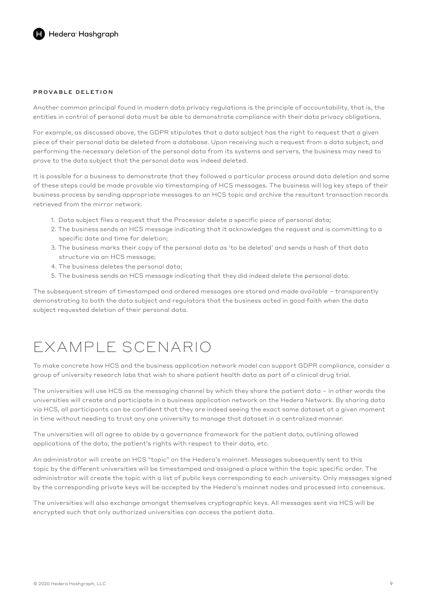### PROVABLE DELETION

Another common principal found in modern data privacy regulations is the principle of accountability, that is, the entities in control of personal data must be able to demonstrate compliance with their data privacy obligations.

For example, as discussed above, the GDPR stipulates that a data subject has the right to request that a given piece of their personal data be deleted from a database. Upon receiving such a request from a data subject, and performing the necessary deletion of the personal data from its systems and servers, the business may need to prove to the data subject that the personal data was indeed deleted.

It is possible for a business to demonstrate that they followed a particular process around data deletion and some of these steps could be made provable via timestamping of HCS messages. The business will log key steps of their business process by sending appropriate messages to an HCS topic and archive the resultant transaction records retrieved from the mirror network.

- 1. Data subject files a request that the Processor delete a specific piece of personal data;
- 2. The business sends an HCS message indicating that it acknowledges the request and is committing to a specific date and time for deletion;
- 3. The business marks their copy of the personal data as 'to be deleted' and sends a hash of that data structure via an HCS message;
- 4. The business deletes the personal data;
- 5. The business sends an HCS message indicating that they did indeed delete the personal data.

The subsequent stream of timestamped and ordered messages are stored and made available – transparently demonstrating to both the data subject and regulators that the business acted in good faith when the data subject requested deletion of their personal data.

## EXAMPLE SCENARIO

To make concrete how HCS and the business application network model can support GDPR compliance, consider a group of university research labs that wish to share patient health data as part of a clinical drug trial.

The universities will use HCS as the messaging channel by which they share the patient data – in other words the universities will create and participate in a business application network on the Hedera Network. By sharing data via HCS, all participants can be confident that they are indeed seeing the exact same dataset at a given moment in time without needing to trust any one university to manage that dataset in a centralized manner.

The universities will all agree to abide by a governance framework for the patient data, outlining allowed applications of the data, the patient's rights with respect to their data, etc.

An administrator will create an HCS "topic" on the Hedera's mainnet. Messages subsequently sent to this topic by the different universities will be timestamped and assigned a place within the topic specific order. The administrator will create the topic with a list of public keys corresponding to each university. Only messages signed by the corresponding private keys will be accepted by the Hedera's mainnet nodes and processed into consensus.

The universities will also exchange amongst themselves cryptographic keys. All messages sent via HCS will be encrypted such that only authorized universities can access the patient data.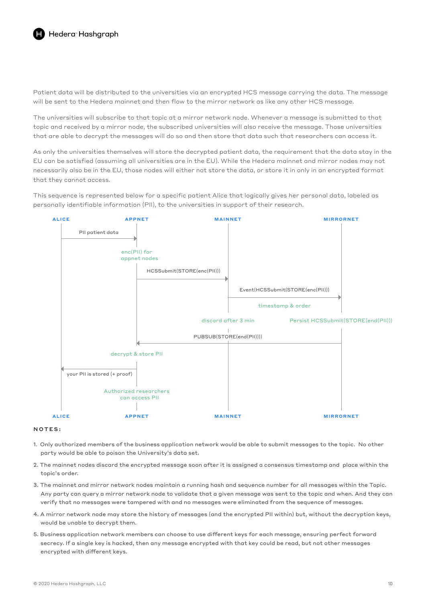Patient data will be distributed to the universities via an encrypted HCS message carrying the data. The message will be sent to the Hedera mainnet and then flow to the mirror network as like any other HCS message.

The universities will subscribe to that topic at a mirror network node. Whenever a message is submitted to that topic and received by a mirror node, the subscribed universities will also receive the message. Those universities that are able to decrypt the messages will do so and then store that data such that researchers can access it.

As only the universities themselves will store the decrypted patient data, the requirement that the data stay in the EU can be satisfied (assuming all universities are in the EU). While the Hedera mainnet and mirror nodes may not necessarily also be in the EU, those nodes will either not store the data, or store it in only in an encrypted format that they cannot access.

This sequence is represented below for a specific patient Alice that logically gives her personal data, labeled as personally identifiable information (PII), to the universities in support of their research.



#### NOTES:

- 1. Only authorized members of the business application network would be able to submit messages to the topic. No other party would be able to poison the University's data set.
- 2. The mainnet nodes discard the encrypted message soon after it is assigned a consensus timestamp and place within the topic's order.
- 3. The mainnet and mirror network nodes maintain a running hash and sequence number for all messages within the Topic. Any party can query a mirror network node to validate that a given message was sent to the topic and when. And they can verify that no messages were tampered with and no messages were eliminated from the sequence of messages.
- 4. A mirror network node may store the history of messages (and the encrypted PII within) but, without the decryption keys, would be unable to decrypt them.
- 5. Business application network members can choose to use different keys for each message, ensuring perfect forward secrecy. If a single key is hacked, then any message encrypted with that key could be read, but not other messages encrypted with different keys.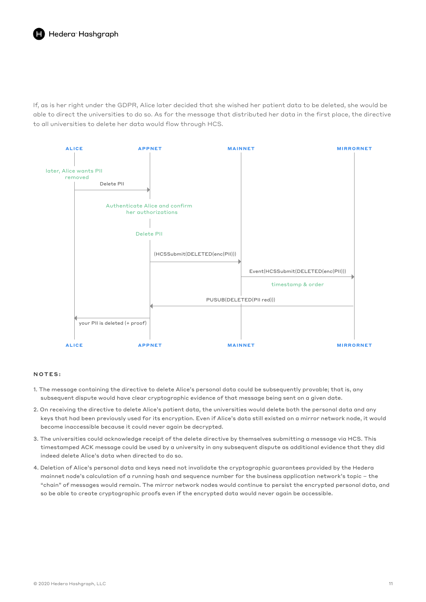If, as is her right under the GDPR, Alice later decided that she wished her patient data to be deleted, she would be able to direct the universities to do so. As for the message that distributed her data in the first place, the directive to all universities to delete her data would flow through HCS.



#### NOTES:

- 1. The message containing the directive to delete Alice's personal data could be subsequently provable; that is, any subsequent dispute would have clear cryptographic evidence of that message being sent on a given date.
- 2. On receiving the directive to delete Alice's patient data, the universities would delete both the personal data and any keys that had been previously used for its encryption. Even if Alice's data still existed on a mirror network node, it would become inaccessible because it could never again be decrypted.
- 3. The universities could acknowledge receipt of the delete directive by themselves submitting a message via HCS. This timestamped ACK message could be used by a university in any subsequent dispute as additional evidence that they did indeed delete Alice's data when directed to do so.
- 4. Deletion of Alice's personal data and keys need not invalidate the cryptographic guarantees provided by the Hedera mainnet node's calculation of a running hash and sequence number for the business application network's topic – the "chain" of messages would remain. The mirror network nodes would continue to persist the encrypted personal data, and so be able to create cryptographic proofs even if the encrypted data would never again be accessible.